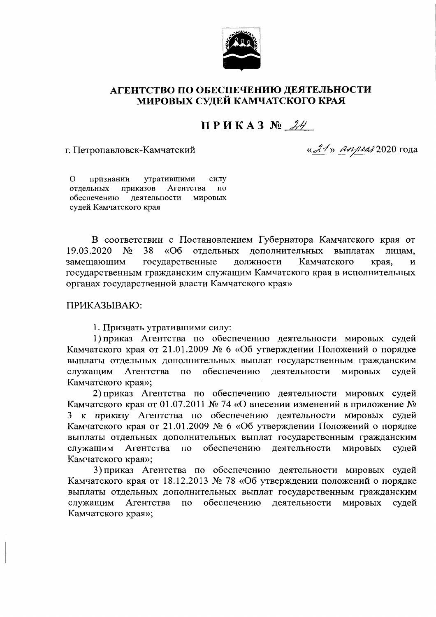

## АГЕНТСТВО ПО ОБЕСПЕЧЕНИЮ ДЕЯТЕЛЬНОСТИ МИРОВЫХ СУЛЕЙ КАМЧАТСКОГО КРАЯ

## $\Pi$  P  $H$  K A 3  $\mathcal{N}_2$   $\mathcal{H}$

## г. Петропавловск-Камчатский

« $21$ » *Апреля* 2020 года

 $\Omega$ признании утратившими силу отдельных приказов Агентства по обеспечению деятельности мировых судей Камчатского края

В соответствии с Постановлением Губернатора Камчатского края от 19.03.2020  $N_2$ 38  $\kappa$ Oб отдельных дополнительных выплатах лицам. замещающим государственные должности Камчатского края,  $\overline{\mathbf{M}}$ государственным гражданским служащим Камчатского края в исполнительных органах государственной власти Камчатского края»

## ПРИКАЗЫВАЮ:

1. Признать утратившими силу:

1) приказ Агентства по обеспечению деятельности мировых судей Камчатского края от 21.01.2009 № 6 «Об утверждении Положений о порядке выплаты отдельных дополнительных выплат государственным гражданским служащим Агентства по обеспечению деятельности мировых судей Камчатского края»;

2) приказ Агентства по обеспечению деятельности мировых судей Камчатского края от 01.07.2011 № 74 «О внесении изменений в приложение № 3 к приказу Агентства по обеспечению деятельности мировых судей Камчатского края от 21.01.2009 № 6 «Об утверждении Положений о порядке выплаты отдельных дополнительных выплат государственным гражданским обеспечению деятельности **МИРОВЫХ** служащим Агентства  $\overline{10}$ судей Камчатского края»;

3) приказ Агентства по обеспечению деятельности мировых судей Камчатского края от 18.12.2013 № 78 «Об утверждении положений о порядке выплаты отдельных дополнительных выплат государственным гражданским обеспечению деятельности служащим Агентства  $\overline{10}$ **МИРОВЫХ** судей Камчатского края»;